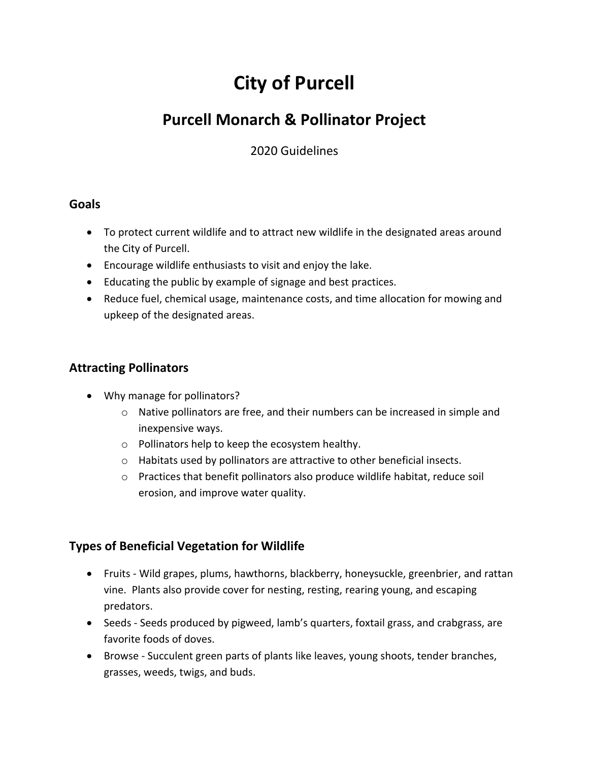# **City of Purcell**

# **Purcell Monarch & Pollinator Project**

2020 Guidelines

#### **Goals**

- To protect current wildlife and to attract new wildlife in the designated areas around the City of Purcell.
- Encourage wildlife enthusiasts to visit and enjoy the lake.
- Educating the public by example of signage and best practices.
- Reduce fuel, chemical usage, maintenance costs, and time allocation for mowing and upkeep of the designated areas.

## **Attracting Pollinators**

- Why manage for pollinators?
	- o Native pollinators are free, and their numbers can be increased in simple and inexpensive ways.
	- o Pollinators help to keep the ecosystem healthy.
	- o Habitats used by pollinators are attractive to other beneficial insects.
	- o Practices that benefit pollinators also produce wildlife habitat, reduce soil erosion, and improve water quality.

### **Types of Beneficial Vegetation for Wildlife**

- Fruits Wild grapes, plums, hawthorns, blackberry, honeysuckle, greenbrier, and rattan vine. Plants also provide cover for nesting, resting, rearing young, and escaping predators.
- Seeds Seeds produced by pigweed, lamb's quarters, foxtail grass, and crabgrass, are favorite foods of doves.
- Browse Succulent green parts of plants like leaves, young shoots, tender branches, grasses, weeds, twigs, and buds.